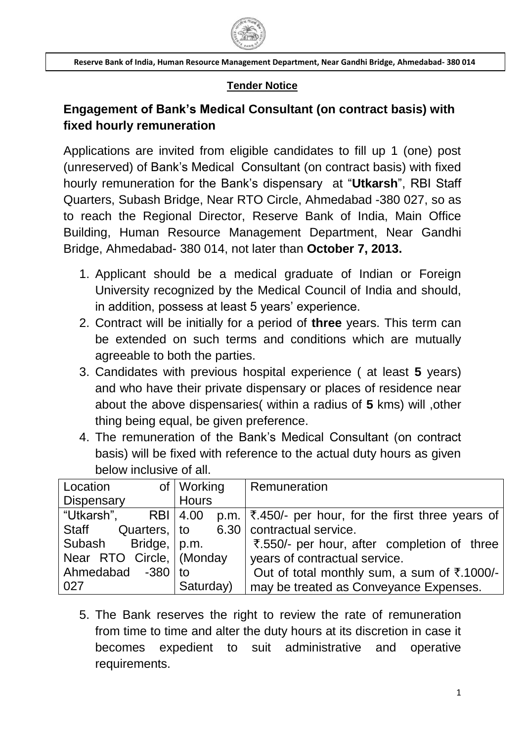

### **Tender Notice**

# **Engagement of Bank's Medical Consultant (on contract basis) with fixed hourly remuneration**

Applications are invited from eligible candidates to fill up 1 (one) post (unreserved) of Bank"s Medical Consultant (on contract basis) with fixed hourly remuneration for the Bank"s dispensary at "**Utkarsh**", RBI Staff Quarters, Subash Bridge, Near RTO Circle, Ahmedabad -380 027, so as to reach the Regional Director, Reserve Bank of India, Main Office Building, Human Resource Management Department, Near Gandhi Bridge, Ahmedabad- 380 014, not later than **October 7, 2013.**

- 1. Applicant should be a medical graduate of Indian or Foreign University recognized by the Medical Council of India and should, in addition, possess at least 5 years' experience.
- 2. Contract will be initially for a period of **three** years. This term can be extended on such terms and conditions which are mutually agreeable to both the parties.
- 3. Candidates with previous hospital experience ( at least **5** years) and who have their private dispensary or places of residence near about the above dispensaries( within a radius of **5** kms) will ,other thing being equal, be given preference.
- 4. The remuneration of the Bank"s Medical Consultant (on contract basis) will be fixed with reference to the actual duty hours as given below inclusive of all.

| Location                                       | of   Working | Remuneration                                                |
|------------------------------------------------|--------------|-------------------------------------------------------------|
| Dispensary                                     | <b>Hours</b> |                                                             |
| "Utkarsh",                                     | RBI 4.00     | p.m. $\vert$ ₹.450/- per hour, for the first three years of |
| Staff Quarters, to 6.30   contractual service. |              |                                                             |
| Subash Bridge, p.m.                            |              | ₹.550/- per hour, after completion of three                 |
| Near RTO Circle,   (Monday                     |              | years of contractual service.                               |
| Ahmedabad -380 to                              |              | Out of total monthly sum, a sum of ₹.1000/-                 |
| 027                                            | Saturday)    | may be treated as Conveyance Expenses.                      |

5. The Bank reserves the right to review the rate of remuneration from time to time and alter the duty hours at its discretion in case it becomes expedient to suit administrative and operative requirements.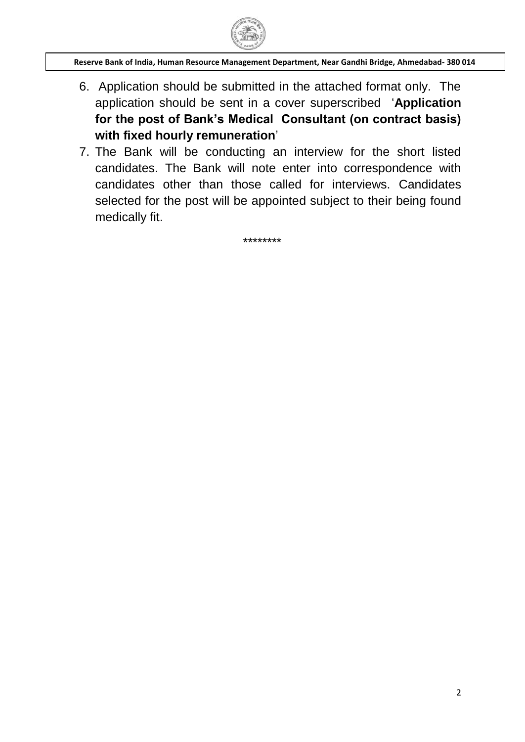

- 6. Application should be submitted in the attached format only. The application should be sent in a cover superscribed "**Application for the post of Bank's Medical Consultant (on contract basis) with fixed hourly remuneration**"
- 7. The Bank will be conducting an interview for the short listed candidates. The Bank will note enter into correspondence with candidates other than those called for interviews. Candidates selected for the post will be appointed subject to their being found medically fit.

\*\*\*\*\*\*\*\*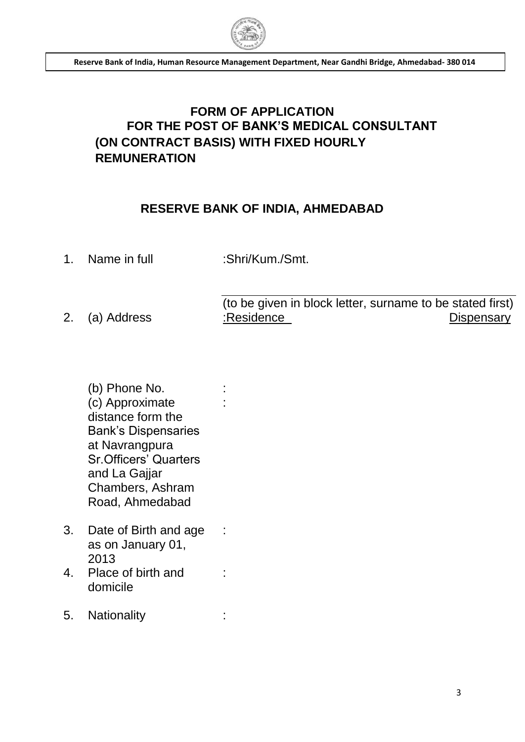

# **FORM OF APPLICATION FOR THE POST OF BANK'S MEDICAL CONSULTANT (ON CONTRACT BASIS) WITH FIXED HOURLY REMUNERATION**

### **RESERVE BANK OF INDIA, AHMEDABAD**

1. Name in full :Shri/Kum./Smt.

:

:

:

- (to be given in block letter, surname to be stated first) 2. (a) Address :Residence : Residence Dispensary
	- (b) Phone No. (c) Approximate distance form the Bank"s Dispensaries at Navrangpura Sr.Officers" Quarters and La Gajjar Chambers, Ashram Road, Ahmedabad
- 3. Date of Birth and age as on January 01, 2013
- 4. Place of birth and domicile
- 5. Nationality :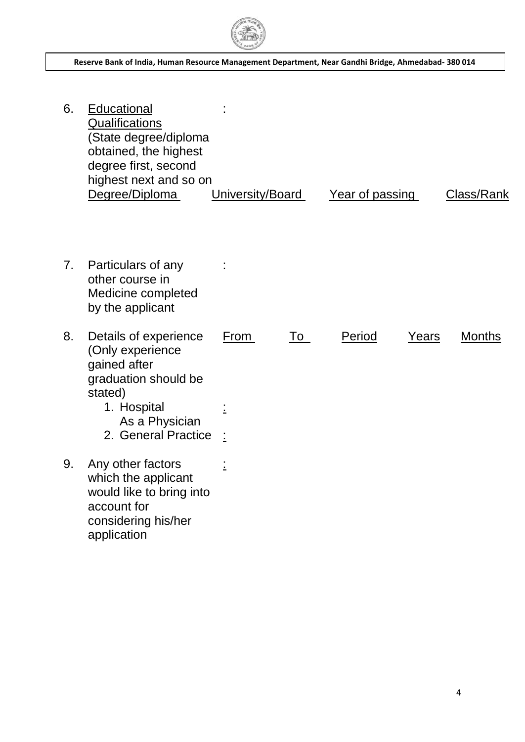

6. Educational **Qualifications** (State degree/diploma obtained, the highest degree first, second highest next and so on : Degree/Diploma University/Board Year of passing Class/Rank 7. Particulars of any other course in Medicine completed by the applicant : 8. Details of experience (Only experience gained after graduation should be stated) From To Period Years Months 1. Hospital As a Physician : 2. General Practice : 9. Any other factors which the applicant would like to bring into account for considering his/her application :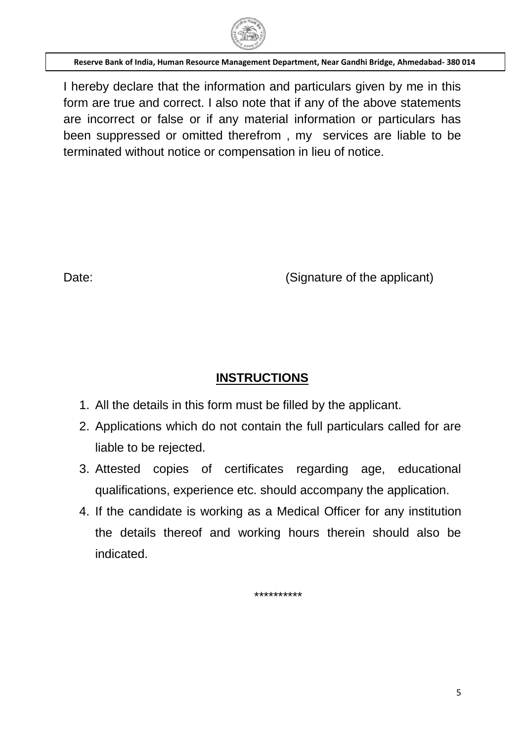

I hereby declare that the information and particulars given by me in this form are true and correct. I also note that if any of the above statements are incorrect or false or if any material information or particulars has been suppressed or omitted therefrom , my services are liable to be terminated without notice or compensation in lieu of notice.

Date: Contract Contract Contract Contract Contract Contract Contract Contract Contract Contract Contract Contract Contract Contract Contract Contract Contract Contract Contract Contract Contract Contract Contract Contract

## **INSTRUCTIONS**

- 1. All the details in this form must be filled by the applicant.
- 2. Applications which do not contain the full particulars called for are liable to be rejected.
- 3. Attested copies of certificates regarding age, educational qualifications, experience etc. should accompany the application.
- 4. If the candidate is working as a Medical Officer for any institution the details thereof and working hours therein should also be indicated.

\*\*\*\*\*\*\*\*\*\*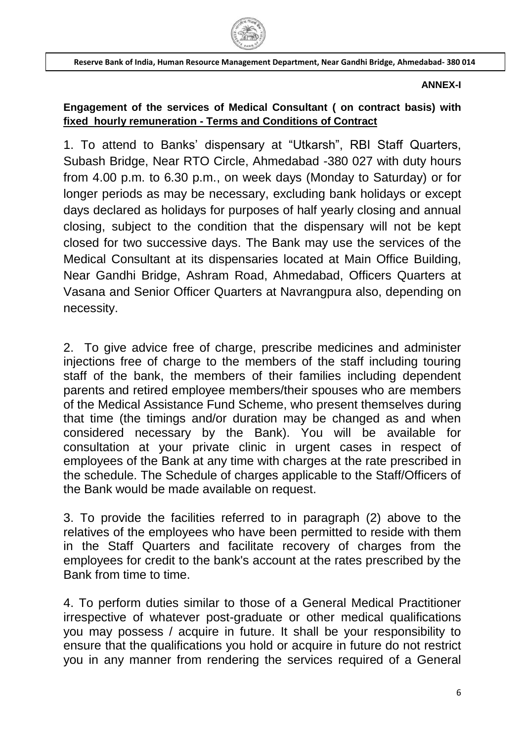

#### **ANNEX-I**

### **Engagement of the services of Medical Consultant ( on contract basis) with fixed hourly remuneration - Terms and Conditions of Contract**

1. To attend to Banks" dispensary at "Utkarsh", RBI Staff Quarters, Subash Bridge, Near RTO Circle, Ahmedabad -380 027 with duty hours from 4.00 p.m. to 6.30 p.m., on week days (Monday to Saturday) or for longer periods as may be necessary, excluding bank holidays or except days declared as holidays for purposes of half yearly closing and annual closing, subject to the condition that the dispensary will not be kept closed for two successive days. The Bank may use the services of the Medical Consultant at its dispensaries located at Main Office Building, Near Gandhi Bridge, Ashram Road, Ahmedabad, Officers Quarters at Vasana and Senior Officer Quarters at Navrangpura also, depending on necessity.

2. To give advice free of charge, prescribe medicines and administer injections free of charge to the members of the staff including touring staff of the bank, the members of their families including dependent parents and retired employee members/their spouses who are members of the Medical Assistance Fund Scheme, who present themselves during that time (the timings and/or duration may be changed as and when considered necessary by the Bank). You will be available for consultation at your private clinic in urgent cases in respect of employees of the Bank at any time with charges at the rate prescribed in the schedule. The Schedule of charges applicable to the Staff/Officers of the Bank would be made available on request.

3. To provide the facilities referred to in paragraph (2) above to the relatives of the employees who have been permitted to reside with them in the Staff Quarters and facilitate recovery of charges from the employees for credit to the bank's account at the rates prescribed by the Bank from time to time.

4. To perform duties similar to those of a General Medical Practitioner irrespective of whatever post-graduate or other medical qualifications you may possess / acquire in future. It shall be your responsibility to ensure that the qualifications you hold or acquire in future do not restrict you in any manner from rendering the services required of a General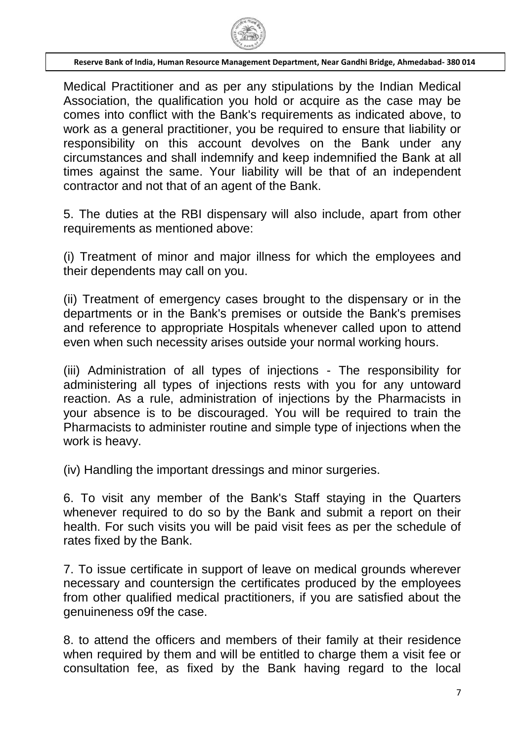

Medical Practitioner and as per any stipulations by the Indian Medical Association, the qualification you hold or acquire as the case may be comes into conflict with the Bank's requirements as indicated above, to work as a general practitioner, you be required to ensure that liability or responsibility on this account devolves on the Bank under any circumstances and shall indemnify and keep indemnified the Bank at all times against the same. Your liability will be that of an independent contractor and not that of an agent of the Bank.

5. The duties at the RBI dispensary will also include, apart from other requirements as mentioned above:

(i) Treatment of minor and major illness for which the employees and their dependents may call on you.

(ii) Treatment of emergency cases brought to the dispensary or in the departments or in the Bank's premises or outside the Bank's premises and reference to appropriate Hospitals whenever called upon to attend even when such necessity arises outside your normal working hours.

(iii) Administration of all types of injections - The responsibility for administering all types of injections rests with you for any untoward reaction. As a rule, administration of injections by the Pharmacists in your absence is to be discouraged. You will be required to train the Pharmacists to administer routine and simple type of injections when the work is heavy.

(iv) Handling the important dressings and minor surgeries.

6. To visit any member of the Bank's Staff staying in the Quarters whenever required to do so by the Bank and submit a report on their health. For such visits you will be paid visit fees as per the schedule of rates fixed by the Bank.

7. To issue certificate in support of leave on medical grounds wherever necessary and countersign the certificates produced by the employees from other qualified medical practitioners, if you are satisfied about the genuineness o9f the case.

8. to attend the officers and members of their family at their residence when required by them and will be entitled to charge them a visit fee or consultation fee, as fixed by the Bank having regard to the local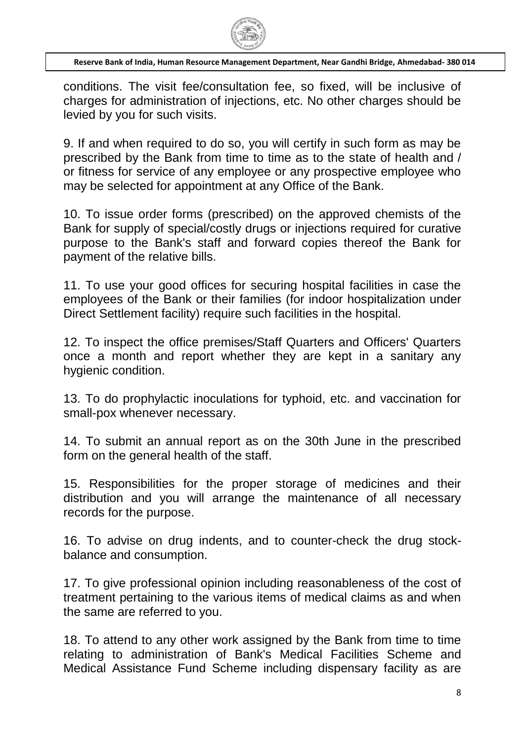

conditions. The visit fee/consultation fee, so fixed, will be inclusive of charges for administration of injections, etc. No other charges should be levied by you for such visits.

9. If and when required to do so, you will certify in such form as may be prescribed by the Bank from time to time as to the state of health and / or fitness for service of any employee or any prospective employee who may be selected for appointment at any Office of the Bank.

10. To issue order forms (prescribed) on the approved chemists of the Bank for supply of special/costly drugs or injections required for curative purpose to the Bank's staff and forward copies thereof the Bank for payment of the relative bills.

11. To use your good offices for securing hospital facilities in case the employees of the Bank or their families (for indoor hospitalization under Direct Settlement facility) require such facilities in the hospital.

12. To inspect the office premises/Staff Quarters and Officers' Quarters once a month and report whether they are kept in a sanitary any hygienic condition.

13. To do prophylactic inoculations for typhoid, etc. and vaccination for small-pox whenever necessary.

14. To submit an annual report as on the 30th June in the prescribed form on the general health of the staff.

15. Responsibilities for the proper storage of medicines and their distribution and you will arrange the maintenance of all necessary records for the purpose.

16. To advise on drug indents, and to counter-check the drug stockbalance and consumption.

17. To give professional opinion including reasonableness of the cost of treatment pertaining to the various items of medical claims as and when the same are referred to you.

18. To attend to any other work assigned by the Bank from time to time relating to administration of Bank's Medical Facilities Scheme and Medical Assistance Fund Scheme including dispensary facility as are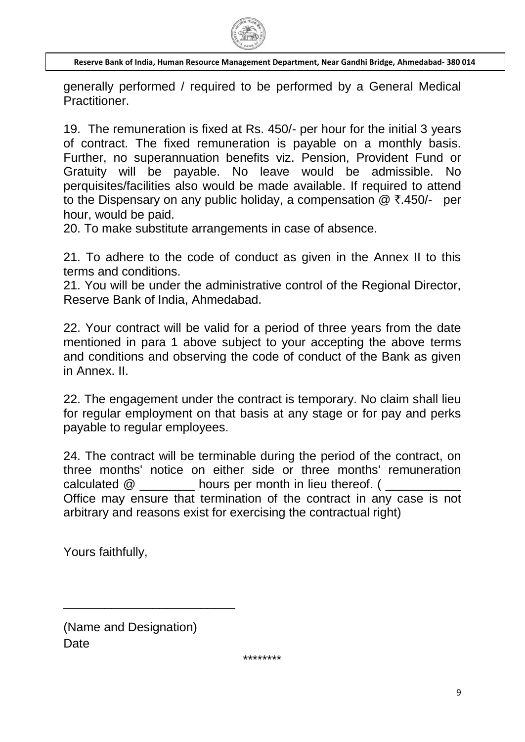

generally performed / required to be performed by a General Medical Practitioner.

19. The remuneration is fixed at Rs. 450/- per hour for the initial 3 years of contract. The fixed remuneration is payable on a monthly basis. Further, no superannuation benefits viz. Pension, Provident Fund or Gratuity will be payable. No leave would be admissible. No perquisites/facilities also would be made available. If required to attend to the Dispensary on any public holiday, a compensation  $@ \bar{\tau}.450$ /- per hour, would be paid.

20. To make substitute arrangements in case of absence.

21. To adhere to the code of conduct as given in the Annex II to this terms and conditions.

21. You will be under the administrative control of the Regional Director, Reserve Bank of India, Ahmedabad.

22. Your contract will be valid for a period of three years from the date mentioned in para 1 above subject to your accepting the above terms and conditions and observing the code of conduct of the Bank as given in Annex. II.

22. The engagement under the contract is temporary. No claim shall lieu for regular employment on that basis at any stage or for pay and perks payable to regular employees.

24. The contract will be terminable during the period of the contract, on three months' notice on either side or three months' remuneration calculated  $@$  hours per month in lieu thereof. ( Office may ensure that termination of the contract in any case is not arbitrary and reasons exist for exercising the contractual right)

Yours faithfully,

(Name and Designation) **Date** 

\_\_\_\_\_\_\_\_\_\_\_\_\_\_\_\_\_\_\_\_\_\_\_\_\_

\*\*\*\*\*\*\*\*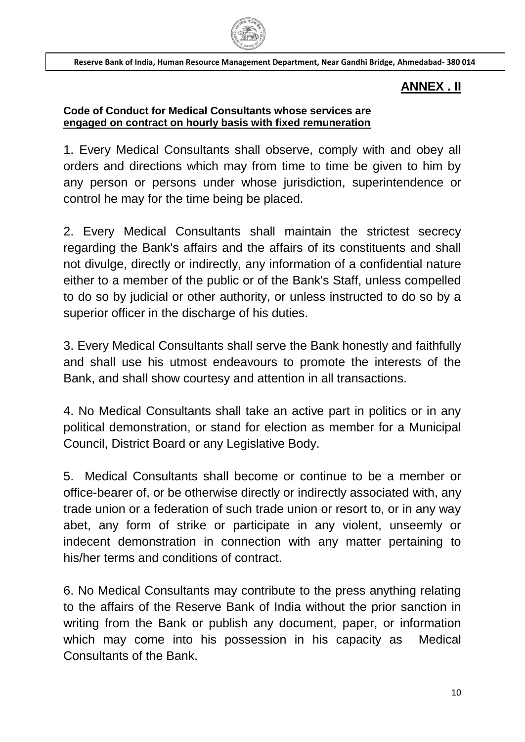

# **ANNEX . II**

### **Code of Conduct for Medical Consultants whose services are engaged on contract on hourly basis with fixed remuneration**

1. Every Medical Consultants shall observe, comply with and obey all orders and directions which may from time to time be given to him by any person or persons under whose jurisdiction, superintendence or control he may for the time being be placed.

2. Every Medical Consultants shall maintain the strictest secrecy regarding the Bank's affairs and the affairs of its constituents and shall not divulge, directly or indirectly, any information of a confidential nature either to a member of the public or of the Bank's Staff, unless compelled to do so by judicial or other authority, or unless instructed to do so by a superior officer in the discharge of his duties.

3. Every Medical Consultants shall serve the Bank honestly and faithfully and shall use his utmost endeavours to promote the interests of the Bank, and shall show courtesy and attention in all transactions.

4. No Medical Consultants shall take an active part in politics or in any political demonstration, or stand for election as member for a Municipal Council, District Board or any Legislative Body.

5. Medical Consultants shall become or continue to be a member or office-bearer of, or be otherwise directly or indirectly associated with, any trade union or a federation of such trade union or resort to, or in any way abet, any form of strike or participate in any violent, unseemly or indecent demonstration in connection with any matter pertaining to his/her terms and conditions of contract.

6. No Medical Consultants may contribute to the press anything relating to the affairs of the Reserve Bank of India without the prior sanction in writing from the Bank or publish any document, paper, or information which may come into his possession in his capacity as Medical Consultants of the Bank.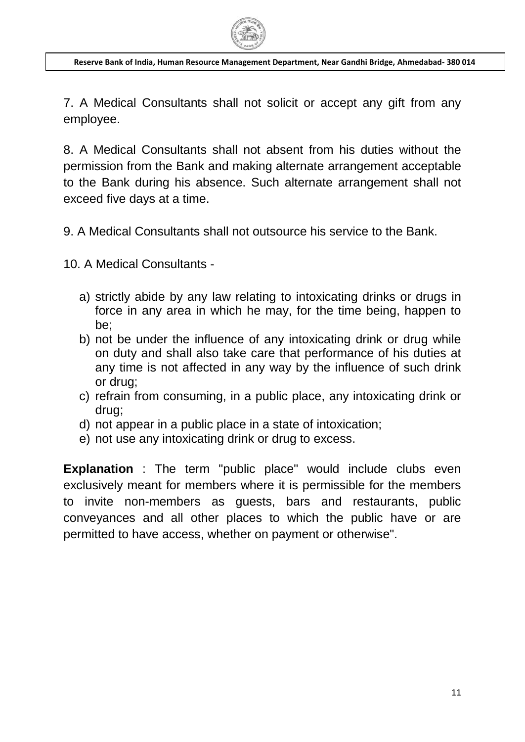

7. A Medical Consultants shall not solicit or accept any gift from any employee.

8. A Medical Consultants shall not absent from his duties without the permission from the Bank and making alternate arrangement acceptable to the Bank during his absence. Such alternate arrangement shall not exceed five days at a time.

9. A Medical Consultants shall not outsource his service to the Bank.

10. A Medical Consultants -

- a) strictly abide by any law relating to intoxicating drinks or drugs in force in any area in which he may, for the time being, happen to be;
- b) not be under the influence of any intoxicating drink or drug while on duty and shall also take care that performance of his duties at any time is not affected in any way by the influence of such drink or drug;
- c) refrain from consuming, in a public place, any intoxicating drink or drug;
- d) not appear in a public place in a state of intoxication;
- e) not use any intoxicating drink or drug to excess.

**Explanation** : The term "public place" would include clubs even exclusively meant for members where it is permissible for the members to invite non-members as guests, bars and restaurants, public conveyances and all other places to which the public have or are permitted to have access, whether on payment or otherwise".